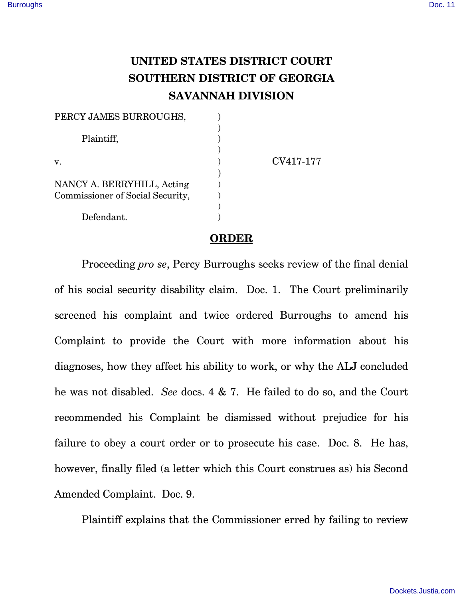## **UNITED STATES DISTRICT COURT SOUTHERN DISTRICT OF GEORGIA SAVANNAH DIVISION**

| PERCY JAMES BURROUGHS,           |           |
|----------------------------------|-----------|
|                                  |           |
| Plaintiff,                       |           |
|                                  |           |
| v.                               | CV417-177 |
|                                  |           |
| NANCY A. BERRYHILL, Acting       |           |
| Commissioner of Social Security, |           |
|                                  |           |
| Defendant.                       |           |

## **ORDER**

Proceeding *pro se*, Percy Burroughs seeks review of the final denial of his social security disability claim. Doc. 1. The Court preliminarily screened his complaint and twice ordered Burroughs to amend his Complaint to provide the Court with more information about his diagnoses, how they affect his ability to work, or why the ALJ concluded he was not disabled. *See* docs. 4 & 7. He failed to do so, and the Court recommended his Complaint be dismissed without prejudice for his failure to obey a court order or to prosecute his case. Doc. 8. He has, however, finally filed (a letter which this Court construes as) his Second Amended Complaint. Doc. 9.

Plaintiff explains that the Commissioner erred by failing to review